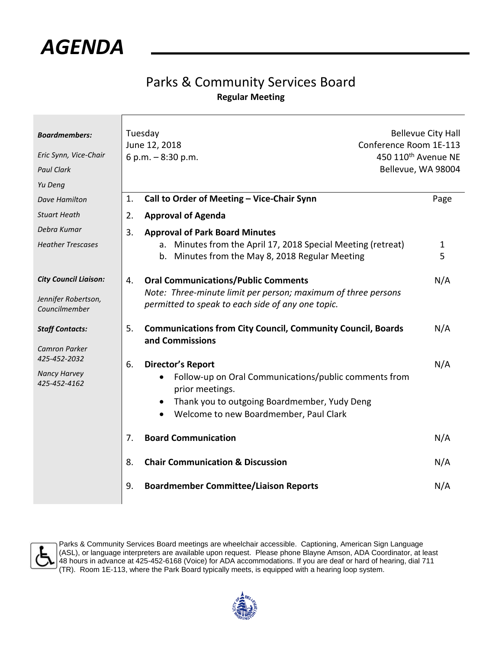

## Parks & Community Services Board **Regular Meeting**

| <b>Boardmembers:</b><br>Eric Synn, Vice-Chair<br><b>Paul Clark</b><br>Yu Deng                         | Tuesday<br>June 12, 2018<br>6 p.m. $-8:30$ p.m.                                                                                                                                                      | <b>Bellevue City Hall</b><br>Conference Room 1E-113<br>450 110 <sup>th</sup> Avenue NE<br>Bellevue, WA 98004 |  |
|-------------------------------------------------------------------------------------------------------|------------------------------------------------------------------------------------------------------------------------------------------------------------------------------------------------------|--------------------------------------------------------------------------------------------------------------|--|
| <b>Dave Hamilton</b>                                                                                  | Call to Order of Meeting - Vice-Chair Synn<br>1.                                                                                                                                                     | Page                                                                                                         |  |
| <b>Stuart Heath</b>                                                                                   | <b>Approval of Agenda</b><br>2.                                                                                                                                                                      |                                                                                                              |  |
| Debra Kumar<br><b>Heather Trescases</b>                                                               | 3.<br><b>Approval of Park Board Minutes</b><br>a. Minutes from the April 17, 2018 Special Meeting (retreat)<br>b. Minutes from the May 8, 2018 Regular Meeting                                       | $\mathbf{1}$<br>5                                                                                            |  |
| <b>City Council Liaison:</b><br>Jennifer Robertson,<br>Councilmember                                  | <b>Oral Communications/Public Comments</b><br>4.<br>Note: Three-minute limit per person; maximum of three persons<br>permitted to speak to each side of any one topic.                               | N/A                                                                                                          |  |
| <b>Staff Contacts:</b><br><b>Camron Parker</b><br>425-452-2032<br><b>Nancy Harvey</b><br>425-452-4162 | 5.<br><b>Communications from City Council, Community Council, Boards</b><br>and Commissions                                                                                                          | N/A                                                                                                          |  |
|                                                                                                       | <b>Director's Report</b><br>6.<br>Follow-up on Oral Communications/public comments from<br>prior meetings.<br>Thank you to outgoing Boardmember, Yudy Deng<br>Welcome to new Boardmember, Paul Clark | N/A                                                                                                          |  |
|                                                                                                       | <b>Board Communication</b><br>7.                                                                                                                                                                     | N/A                                                                                                          |  |
|                                                                                                       | <b>Chair Communication &amp; Discussion</b><br>8.                                                                                                                                                    | N/A                                                                                                          |  |
|                                                                                                       | <b>Boardmember Committee/Liaison Reports</b><br>9.                                                                                                                                                   | N/A                                                                                                          |  |



Parks & Community Services Board meetings are wheelchair accessible. Captioning, American Sign Language (ASL), or language interpreters are available upon request. Please phone Blayne Amson, ADA Coordinator, at least 48 hours in advance at 425-452-6168 (Voice) for ADA accommodations. If you are deaf or hard of hearing, dial 711 (TR). Room 1E-113, where the Park Board typically meets, is equipped with a hearing loop system.